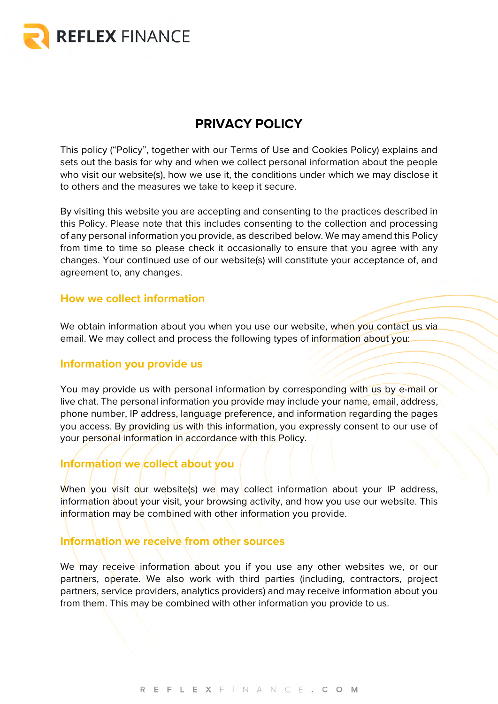

# **PRIVACY POLICY**

This policy ("Policy", together with our Terms of Use and Cookies Policy) explains and sets out the basis for why and when we collect personal information about the people who visit our website(s), how we use it, the conditions under which we may disclose it to others and the measures we take to keep it secure.

By visiting this website you are accepting and consenting to the practices described in this Policy. Please note that this includes consenting to the collection and processing of any personal information you provide, as described below. We may amend this Policy from time to time so please check it occasionally to ensure that you agree with any changes. Your continued use of our website(s) will constitute your acceptance of, and agreement to, any changes.

#### **How we collect information**

We obtain information about you when you use our website, when you contact us via email. We may collect and process the following types of information about you:

#### **Information you provide us**

You may provide us with personal information by corresponding with us by e-mail or live chat. The personal information you provide may include your name, email, address, phone number, IP address, language preference, and information regarding the pages you access. By providing us with this information, you expressly consent to our use of your personal information in accordance with this Policy.

# **Information we collect about you**

When you visit our website(s) we may collect information about your IP address, information about your visit, your browsing activity, and how you use our website. This information may be combined with other information you provide.

#### **Information we receive from other sources**

We may receive information about you if you use any other websites we, or our partners, operate. We also work with third parties (including, contractors, project partners, service providers, analytics providers) and may receive information about you from them. This may be combined with other information you provide to us.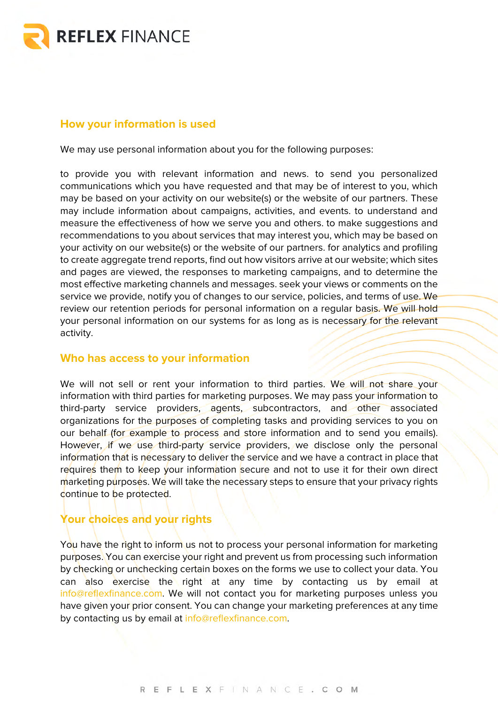

### **How your information is used**

We may use personal information about you for the following purposes:

to provide you with relevant information and news. to send you personalized communications which you have requested and that may be of interest to you, which may be based on your activity on our website(s) or the website of our partners. These may include information about campaigns, activities, and events. to understand and measure the effectiveness of how we serve you and others. to make suggestions and recommendations to you about services that may interest you, which may be based on your activity on our website(s) or the website of our partners. for analytics and profiling to create aggregate trend reports, find out how visitors arrive at our website; which sites and pages are viewed, the responses to marketing campaigns, and to determine the most effective marketing channels and messages. seek your views or comments on the service we provide, notify you of changes to our service, policies, and terms of use. We review our retention periods for personal information on a regular basis. We will hold your personal information on our systems for as long as is necessary for the relevant activity.

#### **Who has access to your information**

We will not sell or rent your information to third parties. We will not share your information with third parties for marketing purposes. We may pass your information to third-party service providers, agents, subcontractors, and other associated organizations for the purposes of completing tasks and providing services to you on our behalf (for example to process and store information and to send you emails). However, if we use third-party service providers, we disclose only the personal information that is necessary to deliver the service and we have a contract in place that requires them to keep your information secure and not to use it for their own direct marketing purposes. We will take the necessary steps to ensure that your privacy rights continue to be protected.

## **Your choices and your rights**

You have the right to inform us not to process your personal information for marketing purposes. You can exercise your right and prevent us from processing such information by checking or unchecking certain boxes on the forms we use to collect your data. You can also exercise the right at any time by contacting us by email at info@reflexfinance.com. We will not contact you for marketing purposes unless you have given your prior consent. You can change your marketing preferences at any time by contacting us by email at info@reflexfinance.com.